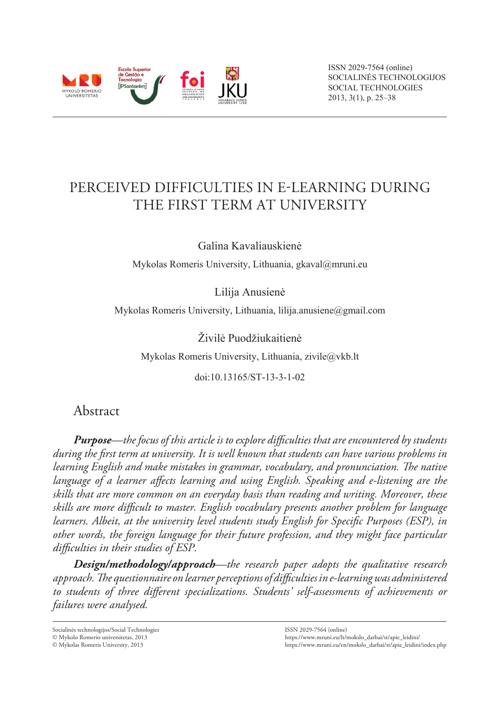

ISSN 2029-7564 (online) SOCIALINĖS TECHNOLOGIJOS SOCIAL TECHNOLOGIES 2013, 3(1), p. 25–38

# Perceived Difficulties in e-Learning During the First Term at University

Galina Kavaliauskienė

Mykolas Romeris University, Lithuania, gkaval@mruni.eu

Lilija Anusienė

Mykolas Romeris University, Lithuania, lilija.anusiene@gmail.com

Živilė Puodžiukaitienė

Mykolas Romeris University, Lithuania, zivile@vkb.lt

doi:10.13165/ST-13-3-1-02

# Abstract

*Purpose—the focus of this article is to explore difficulties that are encountered by students during the first term at university. It is well known that students can have various problems in learning English and make mistakes in grammar, vocabulary, and pronunciation. The native language of a learner affects learning and using English. Speaking and e-listening are the skills that are more common on an everyday basis than reading and writing. Moreover, these skills are more difficult to master. English vocabulary presents another problem for language learners. Albeit, at the university level students study English for Specific Purposes (ESP), in other words, the foreign language for their future profession, and they might face particular difficulties in their studies of ESP.*

*Design/methodology/approach—the research paper adopts the qualitative research approach. The questionnaire on learner perceptions of difficulties in e-learning was administered to students of three different specializations. Students' self-assessments of achievements or failures were analysed.* 

Socialinės technologijos/Social Technologies

Mykolo Romerio universitetas, 2013

Mykolas Romeris University, 2013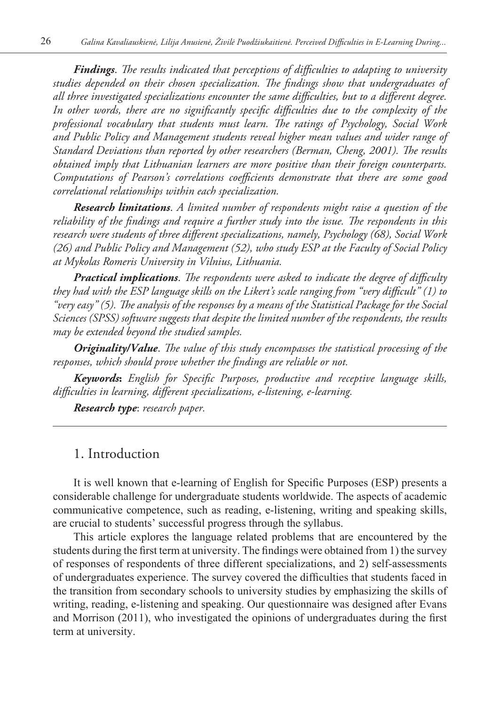*Findings*. *The results indicated that perceptions of difficulties to adapting to university studies depended on their chosen specialization. The findings show that undergraduates of all three investigated specializations encounter the same difficulties, but to a different degree. In other words, there are no significantly specific difficulties due to the complexity of the professional vocabulary that students must learn. The ratings of Psychology, Social Work and Public Policy and Management students reveal higher mean values and wider range of Standard Deviations than reported by other researchers (Berman, Cheng, 2001). The results obtained imply that Lithuanian learners are more positive than their foreign counterparts. Computations of Pearson's correlations coefficients demonstrate that there are some good correlational relationships within each specialization.*

*Research limitations*. *A limited number of respondents might raise a question of the reliability of the findings and require a further study into the issue. The respondents in this research were students of three different specializations, namely, Psychology (68), Social Work (26) and Public Policy and Management (52), who study ESP at the Faculty of Social Policy at Mykolas Romeris University in Vilnius, Lithuania.*

*Practical implications*. *The respondents were asked to indicate the degree of difficulty they had with the ESP language skills on the Likert's scale ranging from "very difficult" (1) to "very easy" (5). The analysis of the responses by a means of the Statistical Package for the Social Sciences (SPSS) software suggests that despite the limited number of the respondents, the results may be extended beyond the studied samples.*

*Originality/Value*. *The value of this study encompasses the statistical processing of the responses, which should prove whether the findings are reliable or not.*

*Keywords***:** *English for Specific Purposes, productive and receptive language skills, difficulties in learning, different specializations, e-listening, e-learning.* 

*Research type*: *research paper.*

### 1. Introduction

It is well known that e-learning of English for Specific Purposes (ESP) presents a considerable challenge for undergraduate students worldwide. The aspects of academic communicative competence, such as reading, e-listening, writing and speaking skills, are crucial to students' successful progress through the syllabus.

This article explores the language related problems that are encountered by the students during the first term at university. The findings were obtained from 1) the survey of responses of respondents of three different specializations, and 2) self-assessments of undergraduates experience. The survey covered the difficulties that students faced in the transition from secondary schools to university studies by emphasizing the skills of writing, reading, e-listening and speaking. Our questionnaire was designed after Evans and Morrison (2011), who investigated the opinions of undergraduates during the first term at university.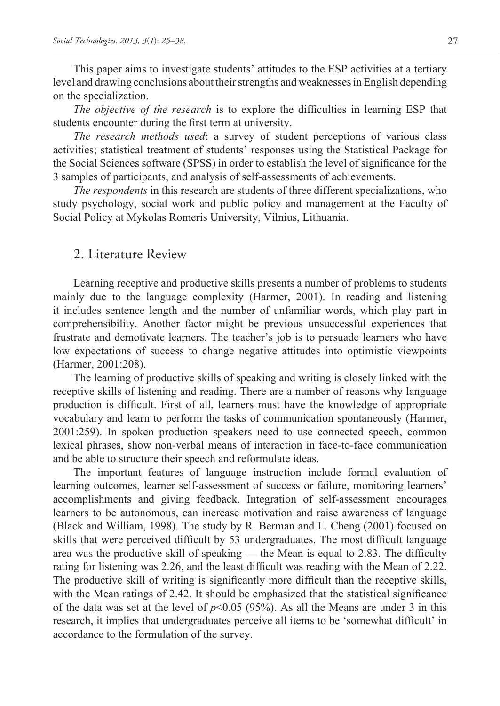This paper aims to investigate students' attitudes to the ESP activities at a tertiary level and drawing conclusions about their strengths and weaknesses in English depending on the specialization.

*The objective of the research* is to explore the difficulties in learning ESP that students encounter during the first term at university.

*The research methods used*: a survey of student perceptions of various class activities; statistical treatment of students' responses using the Statistical Package for the Social Sciences software (SPSS) in order to establish the level of significance for the 3 samples of participants, and analysis of self-assessments of achievements.

*The respondents* in this research are students of three different specializations, who study psychology, social work and public policy and management at the Faculty of Social Policy at Mykolas Romeris University, Vilnius, Lithuania.

# 2. Literature Review

Learning receptive and productive skills presents a number of problems to students mainly due to the language complexity (Harmer, 2001). In reading and listening it includes sentence length and the number of unfamiliar words, which play part in comprehensibility. Another factor might be previous unsuccessful experiences that frustrate and demotivate learners. The teacher's job is to persuade learners who have low expectations of success to change negative attitudes into optimistic viewpoints (Harmer, 2001:208).

The learning of productive skills of speaking and writing is closely linked with the receptive skills of listening and reading. There are a number of reasons why language production is difficult. First of all, learners must have the knowledge of appropriate vocabulary and learn to perform the tasks of communication spontaneously (Harmer, 2001:259). In spoken production speakers need to use connected speech, common lexical phrases, show non-verbal means of interaction in face-to-face communication and be able to structure their speech and reformulate ideas.

The important features of language instruction include formal evaluation of learning outcomes, learner self-assessment of success or failure, monitoring learners' accomplishments and giving feedback. Integration of self-assessment encourages learners to be autonomous, can increase motivation and raise awareness of language (Black and William, 1998). The study by R. Berman and L. Cheng (2001) focused on skills that were perceived difficult by 53 undergraduates. The most difficult language area was the productive skill of speaking — the Mean is equal to 2.83. The difficulty rating for listening was 2.26, and the least difficult was reading with the Mean of 2.22. The productive skill of writing is significantly more difficult than the receptive skills, with the Mean ratings of 2.42. It should be emphasized that the statistical significance of the data was set at the level of  $p<0.05$  (95%). As all the Means are under 3 in this research, it implies that undergraduates perceive all items to be 'somewhat difficult' in accordance to the formulation of the survey.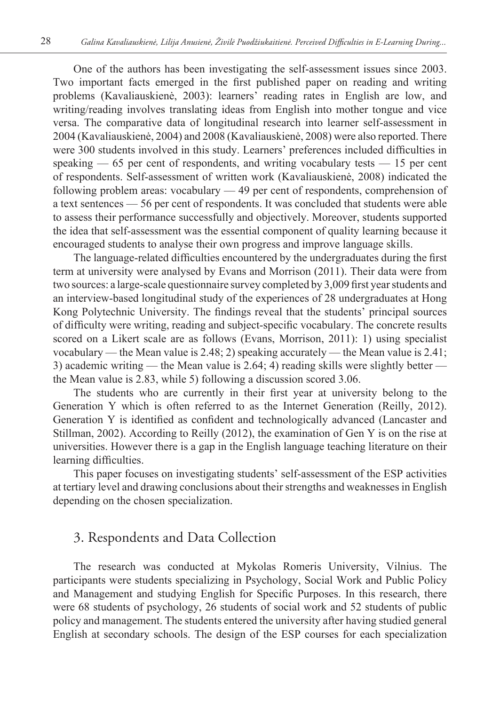One of the authors has been investigating the self-assessment issues since 2003. Two important facts emerged in the first published paper on reading and writing problems (Kavaliauskienė, 2003): learners' reading rates in English are low, and writing/reading involves translating ideas from English into mother tongue and vice versa. The comparative data of longitudinal research into learner self-assessment in 2004 (Kavaliauskienė, 2004) and 2008 (Kavaliauskienė, 2008) were also reported. There were 300 students involved in this study. Learners' preferences included difficulties in speaking  $-65$  per cent of respondents, and writing vocabulary tests  $-15$  per cent of respondents. Self-assessment of written work (Kavaliauskienė, 2008) indicated the following problem areas: vocabulary — 49 per cent of respondents, comprehension of a text sentences — 56 per cent of respondents. It was concluded that students were able to assess their performance successfully and objectively. Moreover, students supported the idea that self-assessment was the essential component of quality learning because it encouraged students to analyse their own progress and improve language skills.

The language-related difficulties encountered by the undergraduates during the first term at university were analysed by Evans and Morrison (2011). Their data were from two sources: a large-scale questionnaire survey completed by 3,009 first year students and an interview-based longitudinal study of the experiences of 28 undergraduates at Hong Kong Polytechnic University. The findings reveal that the students' principal sources of difficulty were writing, reading and subject-specific vocabulary. The concrete results scored on a Likert scale are as follows (Evans, Morrison, 2011): 1) using specialist vocabulary — the Mean value is 2.48; 2) speaking accurately — the Mean value is 2.41; 3) academic writing — the Mean value is 2.64; 4) reading skills were slightly better the Mean value is 2.83, while 5) following a discussion scored 3.06.

The students who are currently in their first year at university belong to the Generation Y which is often referred to as the Internet Generation (Reilly, 2012). Generation Y is identified as confident and technologically advanced (Lancaster and Stillman, 2002). According to Reilly (2012), the examination of Gen Y is on the rise at universities. However there is a gap in the English language teaching literature on their learning difficulties.

This paper focuses on investigating students' self-assessment of the ESP activities at tertiary level and drawing conclusions about their strengths and weaknesses in English depending on the chosen specialization.

# 3. Respondents and Data Collection

The research was conducted at Mykolas Romeris University, Vilnius. The participants were students specializing in Psychology, Social Work and Public Policy and Management and studying English for Specific Purposes. In this research, there were 68 students of psychology, 26 students of social work and 52 students of public policy and management. The students entered the university after having studied general English at secondary schools. The design of the ESP courses for each specialization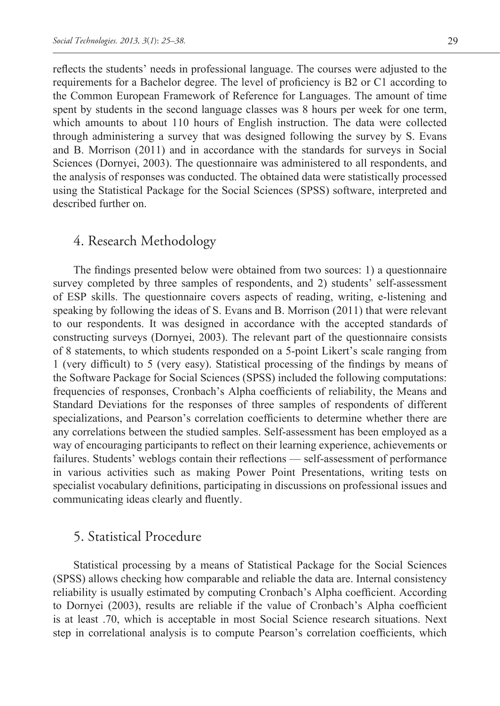reflects the students' needs in professional language. The courses were adjusted to the requirements for a Bachelor degree. The level of proficiency is B2 or C1 according to the Common European Framework of Reference for Languages. The amount of time spent by students in the second language classes was 8 hours per week for one term, which amounts to about 110 hours of English instruction. The data were collected through administering a survey that was designed following the survey by S. Evans and B. Morrison (2011) and in accordance with the standards for surveys in Social Sciences (Dornyei, 2003). The questionnaire was administered to all respondents, and the analysis of responses was conducted. The obtained data were statistically processed using the Statistical Package for the Social Sciences (SPSS) software, interpreted and described further on.

# 4. Research Methodology

The findings presented below were obtained from two sources: 1) a questionnaire survey completed by three samples of respondents, and 2) students' self-assessment of ESP skills. The questionnaire covers aspects of reading, writing, e-listening and speaking by following the ideas of S. Evans and B. Morrison (2011) that were relevant to our respondents. It was designed in accordance with the accepted standards of constructing surveys (Dornyei, 2003). The relevant part of the questionnaire consists of 8 statements, to which students responded on a 5-point Likert's scale ranging from 1 (very difficult) to 5 (very easy). Statistical processing of the findings by means of the Software Package for Social Sciences (SPSS) included the following computations: frequencies of responses, Cronbach's Alpha coefficients of reliability, the Means and Standard Deviations for the responses of three samples of respondents of different specializations, and Pearson's correlation coefficients to determine whether there are any correlations between the studied samples. Self-assessment has been employed as a way of encouraging participants to reflect on their learning experience, achievements or failures. Students' weblogs contain their reflections — self-assessment of performance in various activities such as making Power Point Presentations, writing tests on specialist vocabulary definitions, participating in discussions on professional issues and communicating ideas clearly and fluently.

### 5. Statistical Procedure

Statistical processing by a means of Statistical Package for the Social Sciences (SPSS) allows checking how comparable and reliable the data are. Internal consistency reliability is usually estimated by computing Cronbach's Alpha coefficient. According to Dornyei (2003), results are reliable if the value of Cronbach's Alpha coefficient is at least .70, which is acceptable in most Social Science research situations. Next step in correlational analysis is to compute Pearson's correlation coefficients, which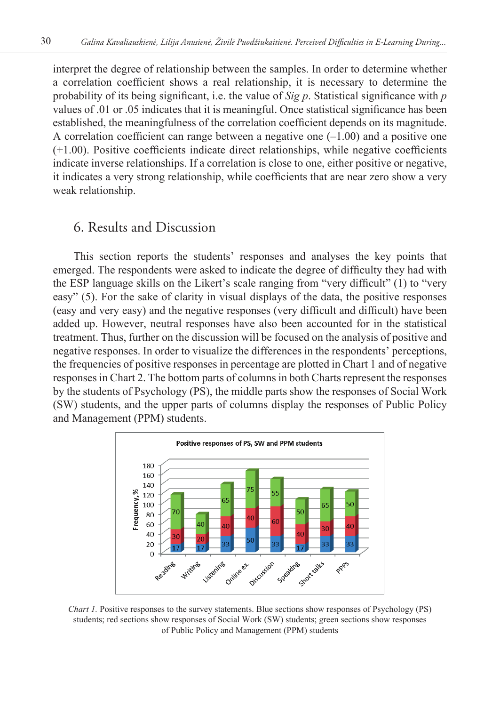interpret the degree of relationship between the samples. In order to determine whether a correlation coefficient shows a real relationship, it is necessary to determine the probability of its being significant, i.e. the value of *Sig p*. Statistical significance with *p* values of .01 or .05 indicates that it is meaningful. Once statistical significance has been established, the meaningfulness of the correlation coefficient depends on its magnitude. A correlation coefficient can range between a negative one  $(-1.00)$  and a positive one (+1.00). Positive coefficients indicate direct relationships, while negative coefficients indicate inverse relationships. If a correlation is close to one, either positive or negative, it indicates a very strong relationship, while coefficients that are near zero show a very weak relationship.

### 6. Results and Discussion

This section reports the students' responses and analyses the key points that emerged. The respondents were asked to indicate the degree of difficulty they had with the ESP language skills on the Likert's scale ranging from "very difficult" (1) to "very easy" (5). For the sake of clarity in visual displays of the data, the positive responses (easy and very easy) and the negative responses (very difficult and difficult) have been added up. However, neutral responses have also been accounted for in the statistical treatment. Thus, further on the discussion will be focused on the analysis of positive and negative responses. In order to visualize the differences in the respondents' perceptions, the frequencies of positive responses in percentage are plotted in Chart 1 and of negative responses in Chart 2. The bottom parts of columns in both Charts represent the responses by the students of Psychology (PS), the middle parts show the responses of Social Work (SW) students, and the upper parts of columns display the responses of Public Policy and Management (PPM) students.



*Chart 1.* Positive responses to the survey statements. Blue sections show responses of Psychology (PS) students; red sections show responses of Social Work (SW) students; green sections show responses of Public Policy and Management (PPM) students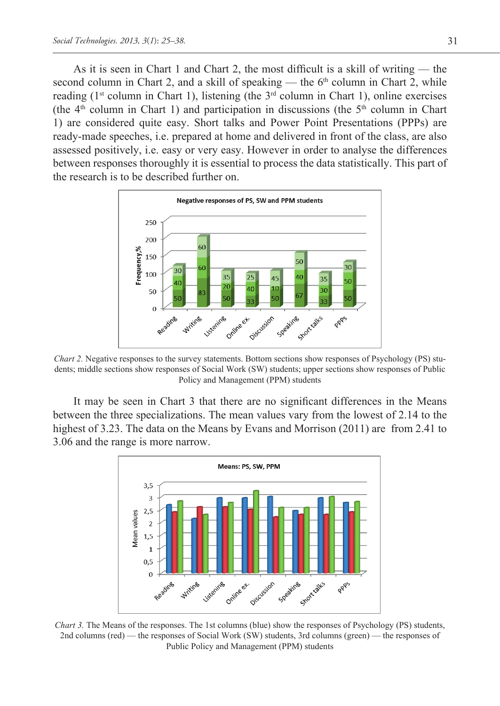As it is seen in Chart 1 and Chart 2, the most difficult is a skill of writing — the second column in Chart 2, and a skill of speaking — the  $6<sup>th</sup>$  column in Chart 2, while reading (1<sup>st</sup> column in Chart 1), listening (the  $3<sup>rd</sup>$  column in Chart 1), online exercises (the  $4<sup>th</sup>$  column in Chart 1) and participation in discussions (the  $5<sup>th</sup>$  column in Chart 1) are considered quite easy. Short talks and Power Point Presentations (PPPs) are ready-made speeches, i.e. prepared at home and delivered in front of the class, are also assessed positively, i.e. easy or very easy. However in order to analyse the differences between responses thoroughly it is essential to process the data statistically. This part of the research is to be described further on.



*Chart 2.* Negative responses to the survey statements. Bottom sections show responses of Psychology (PS) students; middle sections show responses of Social Work (SW) students; upper sections show responses of Public Policy and Management (PPM) students

It may be seen in Chart 3 that there are no significant differences in the Means between the three specializations. The mean values vary from the lowest of 2.14 to the highest of 3.23. The data on the Means by Evans and Morrison (2011) are from 2.41 to 3.06 and the range is more narrow.



*Chart 3.* The Means of the responses. The 1st columns (blue) show the responses of Psychology (PS) students, 2nd columns (red) — the responses of Social Work (SW) students, 3rd columns (green) — the responses of Public Policy and Management (PPM) students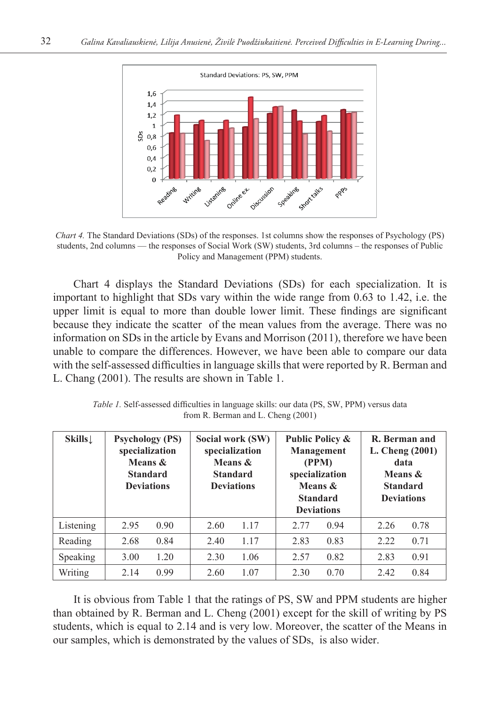

*Chart 4.* The Standard Deviations (SDs) of the responses. 1st columns show the responses of Psychology (PS) students, 2nd columns — the responses of Social Work (SW) students, 3rd columns – the responses of Public Policy and Management (PPM) students.

Chart 4 displays the Standard Deviations (SDs) for each specialization. It is important to highlight that SDs vary within the wide range from 0.63 to 1.42, i.e. the upper limit is equal to more than double lower limit. These findings are significant because they indicate the scatter of the mean values from the average. There was no information on SDs in the article by Evans and Morrison (2011), therefore we have been unable to compare the differences. However, we have been able to compare our data with the self-assessed difficulties in language skills that were reported by R. Berman and L. Chang (2001). The results are shown in Table 1.

| $\mathbf{Skills} \downarrow$ | <b>Psychology (PS)</b><br>specialization<br>Means &<br><b>Standard</b><br><b>Deviations</b> |      | Social work (SW)<br>specialization<br>Means &<br><b>Standard</b><br><b>Deviations</b> |      | Public Policy &<br>Management<br>(PPM)<br>specialization<br>Means &<br><b>Standard</b><br><b>Deviations</b> |      | R. Berman and<br>L. Cheng $(2001)$<br>data<br>Means &<br><b>Standard</b><br><b>Deviations</b> |      |
|------------------------------|---------------------------------------------------------------------------------------------|------|---------------------------------------------------------------------------------------|------|-------------------------------------------------------------------------------------------------------------|------|-----------------------------------------------------------------------------------------------|------|
| Listening                    | 2.95                                                                                        | 0.90 | 2.60                                                                                  | 1.17 | 2.77                                                                                                        | 0.94 | 2.26                                                                                          | 0.78 |
| Reading                      | 2.68                                                                                        | 0.84 | 2.40                                                                                  | 1.17 | 2.83                                                                                                        | 0.83 | 2.22                                                                                          | 0.71 |
| Speaking                     | 3.00                                                                                        | 1.20 | 2.30                                                                                  | 1.06 | 2.57                                                                                                        | 0.82 | 2.83                                                                                          | 0.91 |
| Writing                      | 2.14                                                                                        | 0.99 | 2.60                                                                                  | 1.07 | 2.30                                                                                                        | 0.70 | 2.42                                                                                          | 0.84 |

*Table 1.* Self-assessed difficulties in language skills: our data (PS, SW, PPM) versus data from R. Berman and L. Cheng (2001)

It is obvious from Table 1 that the ratings of PS, SW and PPM students are higher than obtained by R. Berman and L. Cheng (2001) except for the skill of writing by PS students, which is equal to 2.14 and is very low. Moreover, the scatter of the Means in our samples, which is demonstrated by the values of SDs, is also wider.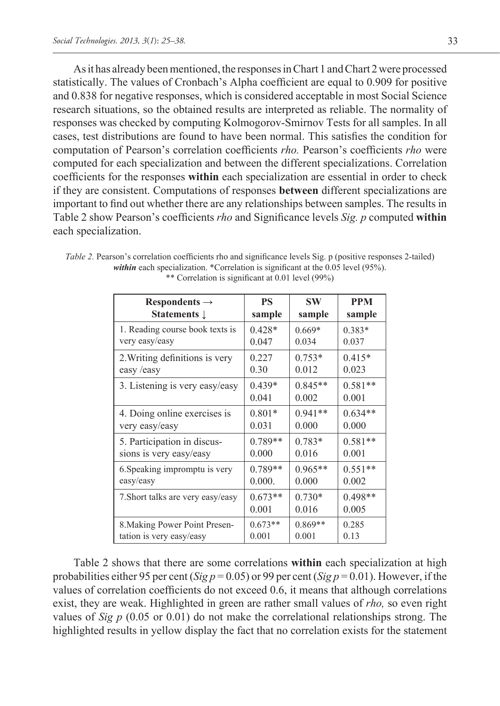As it has already been mentioned, the responses in Chart 1 and Chart 2 were processed statistically. The values of Cronbach's Alpha coefficient are equal to 0.909 for positive and 0.838 for negative responses, which is considered acceptable in most Social Science research situations, so the obtained results are interpreted as reliable. The normality of responses was checked by computing Kolmogorov-Smirnov Tests for all samples. In all cases, test distributions are found to have been normal. This satisfies the condition for computation of Pearson's correlation coefficients *rho.* Pearson's coefficients *rho* were computed for each specialization and between the different specializations. Correlation coefficients for the responses **within** each specialization are essential in order to check if they are consistent. Computations of responses **between** different specializations are important to find out whether there are any relationships between samples. The results in Table 2 show Pearson's coefficients *rho* and Significance levels *Sig. p* computed **within** each specialization.

| Respondents $\rightarrow$         | <b>PS</b> | <b>SW</b> | <b>PPM</b> |
|-----------------------------------|-----------|-----------|------------|
| <b>Statements</b> 1               | sample    | sample    | sample     |
| 1. Reading course book texts is   | $0.428*$  | $0.669*$  | $0.383*$   |
| very easy/easy                    | 0.047     | 0.034     | 0.037      |
| 2. Writing definitions is very    | 0.227     | $0.753*$  | $0.415*$   |
| easy /easy                        | 0.30      | 0.012     | 0.023      |
| 3. Listening is very easy/easy    | $0.439*$  | $0.845**$ | $0.581**$  |
|                                   | 0.041     | 0.002     | 0.001      |
| 4. Doing online exercises is      | $0.801*$  | $0.941**$ | $0.634**$  |
| very easy/easy                    | 0.031     | 0.000     | 0.000      |
| 5. Participation in discus-       | $0.789**$ | $0.783*$  | $0.581**$  |
| sions is very easy/easy           | 0.000     | 0.016     | 0.001      |
| 6. Speaking impromptu is very     | 0.789**   | $0.965**$ | $0.551**$  |
| easy/easy                         | 0.000.    | 0.000     | 0.002      |
| 7. Short talks are very easy/easy | $0.673**$ | $0.730*$  | $0.498**$  |
|                                   | 0.001     | 0.016     | 0.005      |
| 8. Making Power Point Presen-     | $0.673**$ | $0.869**$ | 0.285      |
| tation is very easy/easy          | 0.001     | 0.001     | 0.13       |

*Table 2.* Pearson's correlation coefficients rho and significance levels Sig. p (positive responses 2-tailed) *within* each specialization. \*Correlation is significant at the 0.05 level (95%). \*\* Correlation is significant at 0.01 level (99%)

Table 2 shows that there are some correlations **within** each specialization at high probabilities either 95 per cent (*Sig p* = 0.05) or 99 per cent (*Sig p* = 0.01). However, if the values of correlation coefficients do not exceed 0.6, it means that although correlations exist, they are weak. Highlighted in green are rather small values of *rho,* so even right values of *Sig p*  $(0.05 \text{ or } 0.01)$  do not make the correlational relationships strong. The highlighted results in yellow display the fact that no correlation exists for the statement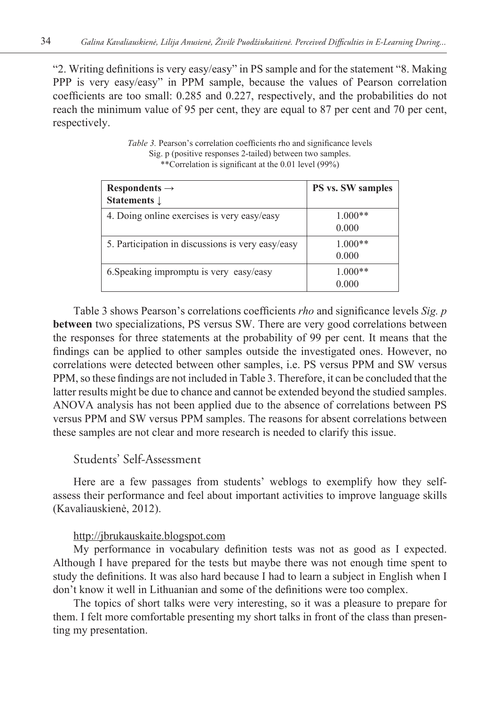"2. Writing definitions is very easy/easy" in PS sample and for the statement "8. Making PPP is very easy/easy" in PPM sample, because the values of Pearson correlation coefficients are too small: 0.285 and 0.227, respectively, and the probabilities do not reach the minimum value of 95 per cent, they are equal to 87 per cent and 70 per cent, respectively.

| Respondents $\rightarrow$<br><b>Statements</b> L  | <b>PS vs. SW samples</b> |
|---------------------------------------------------|--------------------------|
| 4. Doing online exercises is very easy/easy       | $1.000**$<br>0.000       |
| 5. Participation in discussions is very easy/easy | $1.000**$<br>0.000       |
| 6. Speaking impromptu is very easy/easy           | $1.000**$<br>0.000       |

*Table 3.* Pearson's correlation coefficients rho and significance levels Sig. p (positive responses 2-tailed) between two samples. \*\*Correlation is significant at the 0.01 level (99%)

Table 3 shows Pearson's correlations coefficients *rho* and significance levels *Sig. p* **between** two specializations, PS versus SW. There are very good correlations between the responses for three statements at the probability of 99 per cent. It means that the findings can be applied to other samples outside the investigated ones. However, no correlations were detected between other samples, i.e. PS versus PPM and SW versus PPM, so these findings are not included in Table 3. Therefore, it can be concluded that the latter results might be due to chance and cannot be extended beyond the studied samples. ANOVA analysis has not been applied due to the absence of correlations between PS versus PPM and SW versus PPM samples. The reasons for absent correlations between these samples are not clear and more research is needed to clarify this issue.

### Students' Self-Assessment

Here are a few passages from students' weblogs to exemplify how they selfassess their performance and feel about important activities to improve language skills (Kavaliauskienė, 2012).

#### http://jbrukauskaite.blogspot.com

My performance in vocabulary definition tests was not as good as I expected. Although I have prepared for the tests but maybe there was not enough time spent to study the definitions. It was also hard because I had to learn a subject in English when I don't know it well in Lithuanian and some of the definitions were too complex.

The topics of short talks were very interesting, so it was a pleasure to prepare for them. I felt more comfortable presenting my short talks in front of the class than presenting my presentation.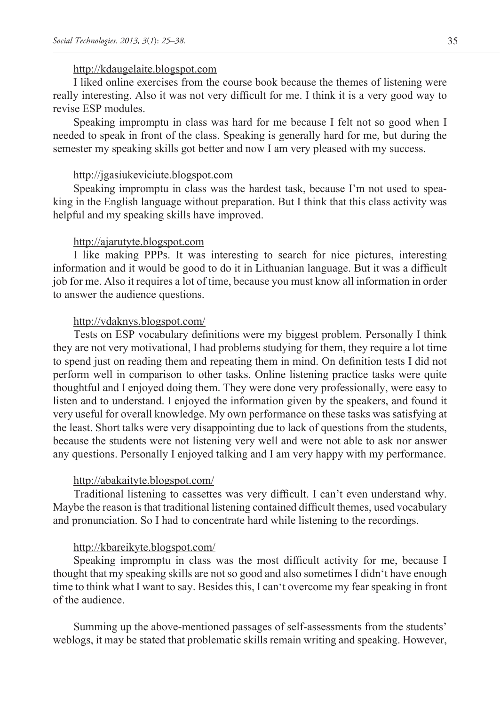#### http://kdaugelaite.blogspot.com

I liked online exercises from the course book because the themes of listening were really interesting. Also it was not very difficult for me. I think it is a very good way to revise ESP modules.

Speaking impromptu in class was hard for me because I felt not so good when I needed to speak in front of the class. Speaking is generally hard for me, but during the semester my speaking skills got better and now I am very pleased with my success.

#### http://jgasiukeviciute.blogspot.com

Speaking impromptu in class was the hardest task, because I'm not used to speaking in the English language without preparation. But I think that this class activity was helpful and my speaking skills have improved.

#### http://ajarutyte.blogspot.com

I like making PPPs. It was interesting to search for nice pictures, interesting information and it would be good to do it in Lithuanian language. But it was a difficult job for me. Also it requires a lot of time, because you must know all information in order to answer the audience questions.

#### http://vdaknys.blogspot.com/

Tests on ESP vocabulary definitions were my biggest problem. Personally I think they are not very motivational, I had problems studying for them, they require a lot time to spend just on reading them and repeating them in mind. On definition tests I did not perform well in comparison to other tasks. Online listening practice tasks were quite thoughtful and I enjoyed doing them. They were done very professionally, were easy to listen and to understand. I enjoyed the information given by the speakers, and found it very useful for overall knowledge. My own performance on these tasks was satisfying at the least. Short talks were very disappointing due to lack of questions from the students, because the students were not listening very well and were not able to ask nor answer any questions. Personally I enjoyed talking and I am very happy with my performance.

### http://abakaityte.blogspot.com/

Traditional listening to cassettes was very difficult. I can't even understand why. Maybe the reason is that traditional listening contained difficult themes, used vocabulary and pronunciation. So I had to concentrate hard while listening to the recordings.

#### http://kbareikyte.blogspot.com/

Speaking impromptu in class was the most difficult activity for me, because I thought that my speaking skills are not so good and also sometimes I didn't have enough time to think what I want to say. Besides this, I can't overcome my fear speaking in front of the audience.

Summing up the above-mentioned passages of self-assessments from the students' weblogs, it may be stated that problematic skills remain writing and speaking. However,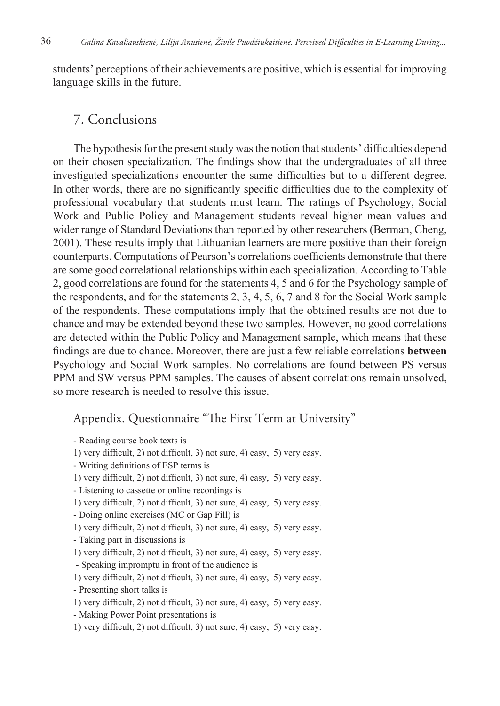students' perceptions of their achievements are positive, which is essential for improving language skills in the future.

# 7. Conclusions

The hypothesis for the present study was the notion that students' difficulties depend on their chosen specialization. The findings show that the undergraduates of all three investigated specializations encounter the same difficulties but to a different degree. In other words, there are no significantly specific difficulties due to the complexity of professional vocabulary that students must learn. The ratings of Psychology, Social Work and Public Policy and Management students reveal higher mean values and wider range of Standard Deviations than reported by other researchers (Berman, Cheng, 2001). These results imply that Lithuanian learners are more positive than their foreign counterparts. Computations of Pearson's correlations coefficients demonstrate that there are some good correlational relationships within each specialization. According to Table 2, good correlations are found for the statements 4, 5 and 6 for the Psychology sample of the respondents, and for the statements  $2, 3, 4, 5, 6, 7$  and 8 for the Social Work sample of the respondents. These computations imply that the obtained results are not due to chance and may be extended beyond these two samples. However, no good correlations are detected within the Public Policy and Management sample, which means that these findings are due to chance. Moreover, there are just a few reliable correlations **between** Psychology and Social Work samples. No correlations are found between PS versus PPM and SW versus PPM samples. The causes of absent correlations remain unsolved, so more research is needed to resolve this issue.

# Appendix. Questionnaire "The First Term at University"

| - Reading course book texts is                                           |  |
|--------------------------------------------------------------------------|--|
| 1) very difficult, 2) not difficult, 3) not sure, 4) easy, 5) very easy. |  |
| $M_{\rm crit} = 4.6$ attack of ECD to $\sim$ is                          |  |

- Writing definitions of ESP terms is
- 1) very difficult, 2) not difficult, 3) not sure, 4) easy, 5) very easy.
- Listening to cassette or online recordings is
- 1) very difficult, 2) not difficult, 3) not sure, 4) easy, 5) very easy.
- Doing online exercises (MC or Gap Fill) is
- 1) very difficult, 2) not difficult, 3) not sure, 4) easy, 5) very easy.
- Taking part in discussions is
- 1) very difficult, 2) not difficult, 3) not sure, 4) easy, 5) very easy.
- Speaking impromptu in front of the audience is
- 1) very difficult, 2) not difficult, 3) not sure, 4) easy, 5) very easy.
- Presenting short talks is
- 1) very difficult, 2) not difficult, 3) not sure, 4) easy, 5) very easy.
- Making Power Point presentations is
- 1) very difficult, 2) not difficult, 3) not sure, 4) easy, 5) very easy.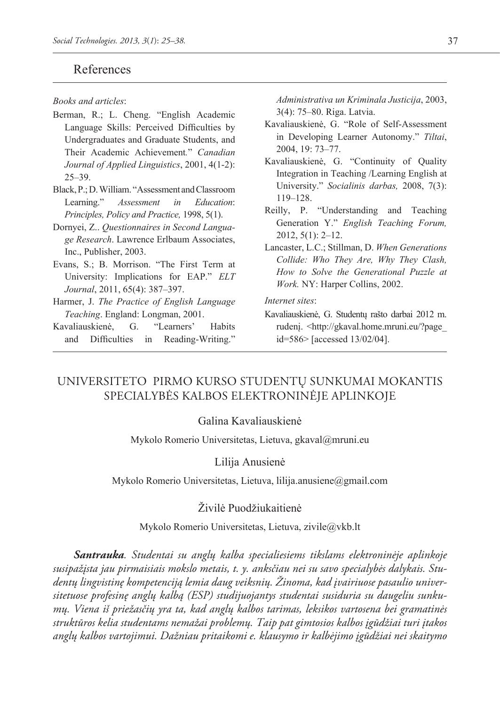### References

*Books and articles*:

- Berman, R.; L. Cheng. "English Academic Language Skills: Perceived Difficulties by Undergraduates and Graduate Students, and Their Academic Achievement*.*" *Canadian Journal of Applied Linguistics*, 2001, 4(1-2): 25–39.
- Black, P.; D. William. "Assessment and Classroom Learning." *Assessment in Education*: *Principles, Policy and Practice,* 1998, 5(1).
- Dornyei, Z.. *Questionnaires in Second Language Research*. Lawrence Erlbaum Associates, Inc., Publisher, 2003.
- Evans, S.; B. Morrison. "The First Term at University: Implications for EAP." *ELT Journal*, 2011, 65(4): 387–397.
- Harmer, J. *The Practice of English Language Teaching*. England: Longman, 2001.
- Kavaliauskienė, G. "Learners' Habits and Difficulties in Reading-Writing."

*Administrativa un Kriminala Justicija*, 2003, 3(4): 75–80. Riga. Latvia.

- Kavaliauskienė, G. "Role of Self-Assessment in Developing Learner Autonomy." *Tiltai*, 2004, 19: 73–77.
- Kavaliauskienė, G. "Continuity of Quality Integration in Teaching /Learning English at University." *Socialinis darbas,* 2008, 7(3): 119–128.
- Reilly, P. "Understanding and Teaching Generation Y." *English Teaching Forum,*  2012, 5(1): 2–12.
- Lancaster, L.C.; Stillman, D. *When Generations Collide: Who They Are, Why They Clash, How to Solve the Generational Puzzle at Work.* NY: Harper Collins, 2002.

#### *Internet sites*:

Kavaliauskienė, G. Studentų rašto darbai 2012 m. rudenį. <http://gkaval.home.mruni.eu/?page\_ id=586> [accessed 13/02/04].

# Universiteto pirmo kurso studentų sunkumai mokantis specialybės kalbos elektroninėje aplinkoje

#### Galina Kavaliauskienė

Mykolo Romerio Universitetas, Lietuva, gkaval@mruni.eu

#### Lilija Anusienė

Mykolo Romerio Universitetas, Lietuva, lilija.anusiene@gmail.com

### Živilė Puodžiukaitienė

Mykolo Romerio Universitetas, Lietuva, zivile@vkb.lt

*Santrauka. Studentai su anglų kalba specialiesiems tikslams elektroninėje aplinkoje susipažįsta jau pirmaisiais mokslo metais, t. y. anksčiau nei su savo specialybės dalykais. Studentų lingvistinę kompetenciją lemia daug veiksnių. Žinoma, kad įvairiuose pasaulio universitetuose profesinę anglų kalbą (ESP) studijuojantys studentai susiduria su daugeliu sunkumų. Viena iš priežasčių yra ta, kad anglų kalbos tarimas, leksikos vartosena bei gramatinės struktūros kelia studentams nemažai problemų. Taip pat gimtosios kalbos įgūdžiai turi įtakos anglų kalbos vartojimui. Dažniau pritaikomi e. klausymo ir kalbėjimo įgūdžiai nei skaitymo*